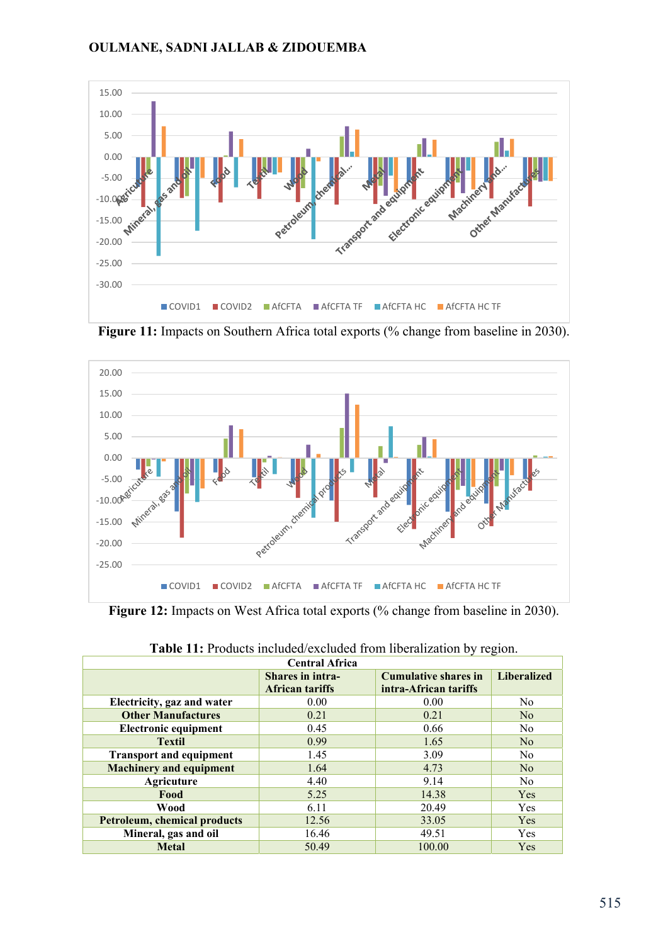## **OULMANE, SADNI JALLAB & ZIDOUEMBA**



**Figure 11:** Impacts on Southern Africa total exports (% change from baseline in 2030).



**Figure 12:** Impacts on West Africa total exports (% change from baseline in 2030).

| <b>Central Africa</b>               |                                                   |                                               |                    |  |  |  |
|-------------------------------------|---------------------------------------------------|-----------------------------------------------|--------------------|--|--|--|
|                                     | <b>Shares in intra-</b><br><b>African tariffs</b> | Cumulative shares in<br>intra-African tariffs | <b>Liberalized</b> |  |  |  |
| Electricity, gaz and water          | 0.00                                              | 0.00                                          | No.                |  |  |  |
| <b>Other Manufactures</b>           | 0.21                                              | 0.21                                          | N <sub>o</sub>     |  |  |  |
| <b>Electronic equipment</b>         | 0.45                                              | 0.66                                          | N <sub>o</sub>     |  |  |  |
| <b>Textil</b>                       | 0.99                                              | 1.65                                          | N <sub>o</sub>     |  |  |  |
| <b>Transport and equipment</b>      | 1.45                                              | 3.09                                          | N <sub>o</sub>     |  |  |  |
| <b>Machinery and equipment</b>      | 1.64                                              | 4.73                                          | N <sub>o</sub>     |  |  |  |
| Agricuture                          | 4.40                                              | 9.14                                          | N <sub>0</sub>     |  |  |  |
| Food                                | 5.25                                              | 14.38                                         | Yes                |  |  |  |
| Wood                                | 6.11                                              | 20.49                                         | Yes                |  |  |  |
| <b>Petroleum, chemical products</b> | 12.56                                             | 33.05                                         | Yes                |  |  |  |
| Mineral, gas and oil                | 16.46                                             | 49.51                                         | Yes                |  |  |  |
| <b>Metal</b>                        | 50.49                                             | 100.00                                        | Yes                |  |  |  |

|  | Table 11: Products included/excluded from liberalization by region. |  |  |  |  |  |
|--|---------------------------------------------------------------------|--|--|--|--|--|
|  |                                                                     |  |  |  |  |  |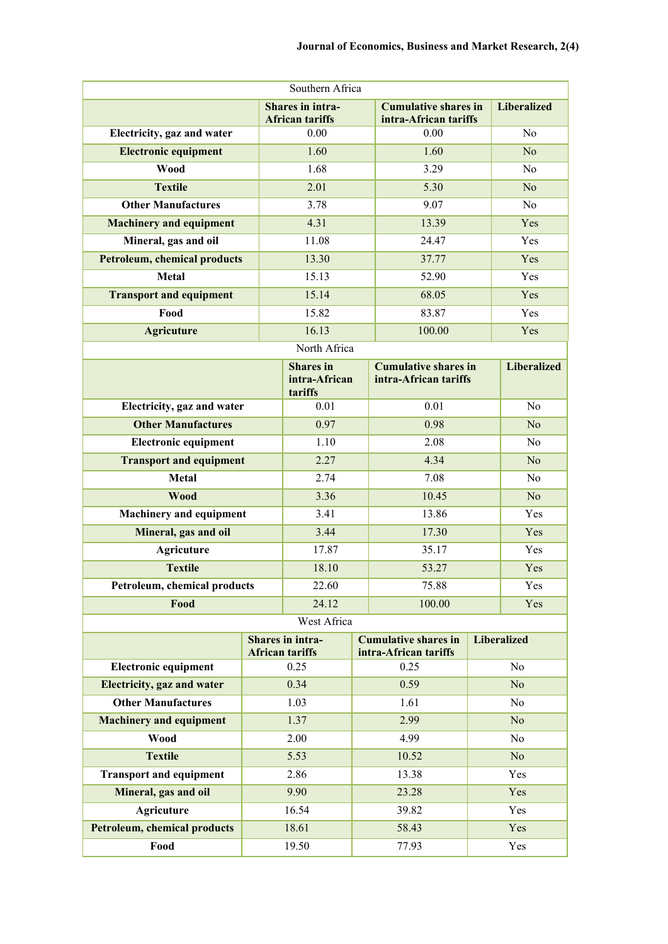| Southern Africa                |                                                   |                                                      |        |                                                      |                    |                    |  |
|--------------------------------|---------------------------------------------------|------------------------------------------------------|--------|------------------------------------------------------|--------------------|--------------------|--|
|                                | <b>Shares in intra-</b><br><b>African tariffs</b> | <b>Cumulative shares in</b><br>intra-African tariffs |        |                                                      | <b>Liberalized</b> |                    |  |
| Electricity, gaz and water     |                                                   |                                                      |        | 0.00                                                 |                    | No                 |  |
| <b>Electronic equipment</b>    | 1.60                                              |                                                      | 1.60   |                                                      | No.                |                    |  |
| <b>Wood</b>                    |                                                   | 1.68                                                 |        | 3.29                                                 |                    | No                 |  |
| <b>Textile</b>                 |                                                   | 2.01                                                 |        | 5.30                                                 |                    | N <sub>o</sub>     |  |
| <b>Other Manufactures</b>      |                                                   | 3.78                                                 |        | 9.07                                                 |                    | No                 |  |
| <b>Machinery and equipment</b> |                                                   | 4.31                                                 |        | 13.39                                                |                    | Yes                |  |
| Mineral, gas and oil           |                                                   | 11.08                                                |        | 24.47                                                |                    | Yes                |  |
| Petroleum, chemical products   |                                                   | 13.30                                                |        | 37.77                                                |                    | Yes                |  |
| Metal                          |                                                   | 15.13                                                |        | 52.90                                                |                    | Yes                |  |
| <b>Transport and equipment</b> |                                                   | 15.14                                                |        | 68.05                                                |                    | Yes                |  |
| Food                           |                                                   | 15.82                                                |        | 83.87                                                |                    | Yes                |  |
| <b>Agricuture</b>              |                                                   | 16.13                                                |        | 100.00                                               |                    | Yes                |  |
|                                |                                                   | North Africa                                         |        |                                                      |                    | <b>Liberalized</b> |  |
|                                | <b>Shares</b> in<br>intra-African<br>tariffs      |                                                      |        | <b>Cumulative shares in</b><br>intra-African tariffs |                    |                    |  |
| Electricity, gaz and water     |                                                   | 0.01                                                 |        | 0.01                                                 |                    | No                 |  |
| <b>Other Manufactures</b>      |                                                   | 0.97                                                 |        | 0.98                                                 |                    | N <sub>o</sub>     |  |
| <b>Electronic equipment</b>    | 1.10                                              |                                                      | 2.08   |                                                      | No                 |                    |  |
| <b>Transport and equipment</b> | 2.27<br>4.34                                      |                                                      |        | N <sub>o</sub>                                       |                    |                    |  |
| <b>Metal</b>                   | 2.74                                              |                                                      | 7.08   |                                                      | No                 |                    |  |
| <b>Wood</b>                    | 3.36                                              |                                                      | 10.45  |                                                      | N <sub>o</sub>     |                    |  |
| <b>Machinery and equipment</b> | 3.41                                              |                                                      | 13.86  |                                                      | Yes                |                    |  |
| Mineral, gas and oil           | 3.44                                              |                                                      | 17.30  |                                                      | Yes                |                    |  |
| Agricuture                     | 17.87                                             |                                                      | 35.17  |                                                      | Yes                |                    |  |
| <b>Textile</b>                 | 18.10                                             | 53.27                                                |        |                                                      | Yes                |                    |  |
| Petroleum, chemical products   | 22.60                                             |                                                      | 75.88  |                                                      | Yes                |                    |  |
| Food                           |                                                   | 24.12                                                | 100.00 |                                                      |                    | Yes                |  |
|                                |                                                   | West Africa                                          |        |                                                      |                    |                    |  |
|                                |                                                   | <b>Shares in intra-</b><br><b>African tariffs</b>    |        | <b>Cumulative shares in</b><br>intra-African tariffs |                    | <b>Liberalized</b> |  |
| <b>Electronic equipment</b>    |                                                   | 0.25                                                 | 0.25   |                                                      | N <sub>o</sub>     |                    |  |
| Electricity, gaz and water     |                                                   | 0.34                                                 |        | 0.59                                                 | N <sub>o</sub>     |                    |  |
| <b>Other Manufactures</b>      |                                                   | 1.03                                                 |        | 1.61                                                 |                    | N <sub>o</sub>     |  |
| <b>Machinery and equipment</b> |                                                   | 1.37                                                 |        | 2.99                                                 |                    | No                 |  |
| <b>Wood</b>                    |                                                   | 2.00                                                 |        | 4.99                                                 |                    | N <sub>o</sub>     |  |
| <b>Textile</b>                 |                                                   | 5.53                                                 |        | 10.52                                                |                    | N <sub>o</sub>     |  |
| <b>Transport and equipment</b> |                                                   | 2.86                                                 |        | 13.38                                                |                    | Yes                |  |
| Mineral, gas and oil           |                                                   | 9.90                                                 |        | 23.28                                                |                    | Yes                |  |
| <b>Agricuture</b>              |                                                   | 16.54                                                |        | 39.82                                                |                    | Yes                |  |
| Petroleum, chemical products   |                                                   | 18.61                                                |        | 58.43                                                |                    | Yes                |  |
| Food                           |                                                   | 19.50                                                |        | 77.93                                                |                    | Yes                |  |